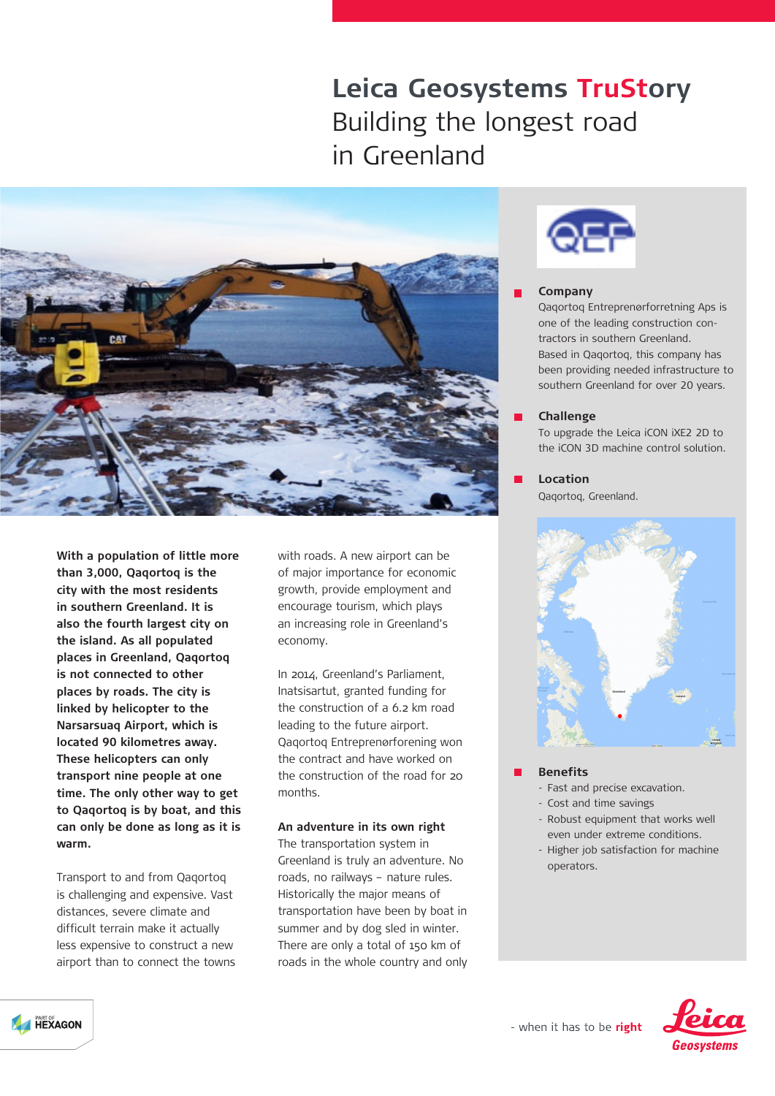# **Leica Geosystems TruStory** Building the longest road in Greenland



**With a population of little more than 3,000, Qaqortoq is the city with the most residents in southern Greenland. It is also the fourth largest city on the island. As all populated places in Greenland, Qaqortoq is not connected to other places by roads. The city is linked by helicopter to the Narsarsuaq Airport, which is located 90 kilometres away. These helicopters can only transport nine people at one time. The only other way to get to Qaqortoq is by boat, and this can only be done as long as it is warm.**

Transport to and from Qaqortoq is challenging and expensive. Vast distances, severe climate and difficult terrain make it actually less expensive to construct a new airport than to connect the towns with roads. A new airport can be of major importance for economic growth, provide employment and encourage tourism, which plays an increasing role in Greenland's economy.

In 2014, Greenland's Parliament, Inatsisartut, granted funding for the construction of a 6.2 km road leading to the future airport. Qaqortoq Entreprenørforening won the contract and have worked on the construction of the road for 20 months.

## **An adventure in its own right**

The transportation system in Greenland is truly an adventure. No roads, no railways – nature rules. Historically the major means of transportation have been by boat in summer and by dog sled in winter. There are only a total of 150 km of roads in the whole country and only



## **Company**

Qaqortoq Entreprenørforretning Aps is one of the leading construction contractors in southern Greenland. Based in Qaqortoq, this company has been providing needed infrastructure to southern Greenland for over 20 years.

## **Challenge**

To upgrade the Leica iCON iXE2 2D to the iCON 3D machine control solution.

**Location** Qaqortoq, Greenland.



#### **Benefits**

- Fast and precise excavation.
- Cost and time savings
- Robust equipment that works well even under extreme conditions.
- Higher job satisfaction for machine operators.